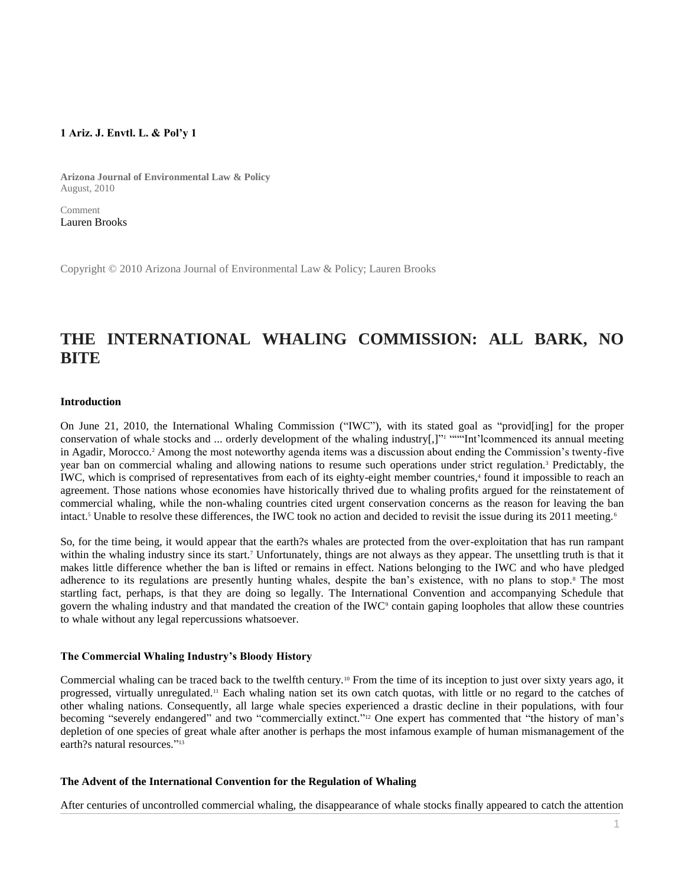# **1 Ariz. J. Envtl. L. & Pol'y 1**

**Arizona Journal of Environmental Law & Policy** August, 2010

Comment [Lauren Brooks](http://www.westlaw.com/Link/Document/FullText?findType=h&pubNum=176284&cite=0411986101&originatingDoc=Ic08a3ac88c0f11e498db8b09b4f043e0&refType=RQ&originationContext=document&vr=3.0&rs=cblt1.0&transitionType=DocumentItem&contextData=(sc.Search))

Copyright © 2010 Arizona Journal of Environmental Law & Policy; Lauren Brooks

# **THE INTERNATIONAL WHALING COMMISSION: ALL BARK, NO BITE**

#### **Introduction**

On June 21, 2010, the International Whaling Commission ("IWC"), with its stated goal as "provid[ing] for the proper conservation of whale stocks and ... orderly development of the whaling industry[,]" ""Int'lcommenced its annual meeting in Agadir, Morocco.<sup>2</sup> Among the most noteworthy agenda items was a discussion about ending the Commission's twenty-five year ban on commercial whaling and allowing nations to resume such operations under strict regulation.<sup>3</sup> Predictably, the IWC, which is comprised of representatives from each of its eighty-eight member countries,<sup>4</sup> found it impossible to reach an agreement. Those nations whose economies have historically thrived due to whaling profits argued for the reinstatement of commercial whaling, while the non-whaling countries cited urgent conservation concerns as the reason for leaving the ban intact.<sup>5</sup> Unable to resolve these differences, the IWC took no action and decided to revisit the issue during its 2011 meeting.<sup>6</sup>

So, for the time being, it would appear that the earth?s whales are protected from the over-exploitation that has run rampant within the whaling industry since its start.<sup>7</sup> Unfortunately, things are not always as they appear. The unsettling truth is that it makes little difference whether the ban is lifted or remains in effect. Nations belonging to the IWC and who have pledged adherence to its regulations are presently hunting whales, despite the ban's existence, with no plans to stop.<sup>8</sup> The most startling fact, perhaps, is that they are doing so legally. The International Convention and accompanying Schedule that govern the whaling industry and that mandated the creation of the IWC<sup>9</sup> contain gaping loopholes that allow these countries to whale without any legal repercussions whatsoever.

#### **The Commercial Whaling Industry's Bloody History**

Commercial whaling can be traced back to the twelfth century.<sup>10</sup> From the time of its inception to just over sixty years ago, it progressed, virtually unregulated.<sup>11</sup> Each whaling nation set its own catch quotas, with little or no regard to the catches of other whaling nations. Consequently, all large whale species experienced a drastic decline in their populations, with four becoming "severely endangered" and two "commercially extinct." <sup>12</sup> One expert has commented that "the history of man's depletion of one species of great whale after another is perhaps the most infamous example of human mismanagement of the earth?s natural resources."<sup>13</sup>

#### **The Advent of the International Convention for the Regulation of Whaling**

After centuries of uncontrolled commercial whaling, the disappearance of whale stocks finally appeared to catch the attention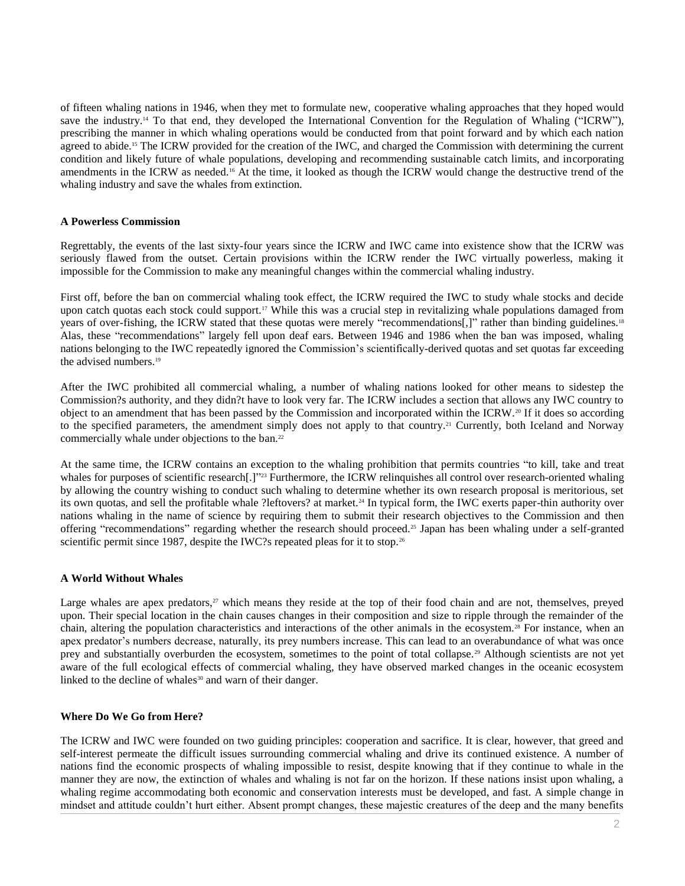of fifteen whaling nations in 1946, when they met to formulate new, cooperative whaling approaches that they hoped would save the industry.<sup>14</sup> To that end, they developed the International Convention for the Regulation of Whaling ("ICRW"), prescribing the manner in which whaling operations would be conducted from that point forward and by which each nation agreed to abide.<sup>15</sup> The ICRW provided for the creation of the IWC, and charged the Commission with determining the current condition and likely future of whale populations, developing and recommending sustainable catch limits, and incorporating amendments in the ICRW as needed.<sup>16</sup> At the time, it looked as though the ICRW would change the destructive trend of the whaling industry and save the whales from extinction.

#### **A Powerless Commission**

Regrettably, the events of the last sixty-four years since the ICRW and IWC came into existence show that the ICRW was seriously flawed from the outset. Certain provisions within the ICRW render the IWC virtually powerless, making it impossible for the Commission to make any meaningful changes within the commercial whaling industry.

First off, before the ban on commercial whaling took effect, the ICRW required the IWC to study whale stocks and decide upon catch quotas each stock could support.<sup>17</sup> While this was a crucial step in revitalizing whale populations damaged from years of over-fishing, the ICRW stated that these quotas were merely "recommendations[,]" rather than binding guidelines.<sup>18</sup> Alas, these "recommendations" largely fell upon deaf ears. Between 1946 and 1986 when the ban was imposed, whaling nations belonging to the IWC repeatedly ignored the Commission's scientifically-derived quotas and set quotas far exceeding the advised numbers.<sup>19</sup>

After the IWC prohibited all commercial whaling, a number of whaling nations looked for other means to sidestep the Commission?s authority, and they didn?t have to look very far. The ICRW includes a section that allows any IWC country to object to an amendment that has been passed by the Commission and incorporated within the ICRW.<sup>20</sup> If it does so according to the specified parameters, the amendment simply does not apply to that country.<sup>21</sup> Currently, both Iceland and Norway commercially whale under objections to the ban.<sup>22</sup>

At the same time, the ICRW contains an exception to the whaling prohibition that permits countries "to kill, take and treat whales for purposes of scientific research[.]"<sup>23</sup> Furthermore, the ICRW relinquishes all control over research-oriented whaling by allowing the country wishing to conduct such whaling to determine whether its own research proposal is meritorious, set its own quotas, and sell the profitable whale ?leftovers? at market.<sup>24</sup> In typical form, the IWC exerts paper-thin authority over nations whaling in the name of science by requiring them to submit their research objectives to the Commission and then offering "recommendations" regarding whether the research should proceed.<sup>25</sup> Japan has been whaling under a self-granted scientific permit since 1987, despite the IWC?s repeated pleas for it to stop.<sup>26</sup>

# **A World Without Whales**

Large whales are apex predators,<sup>27</sup> which means they reside at the top of their food chain and are not, themselves, preyed upon. Their special location in the chain causes changes in their composition and size to ripple through the remainder of the chain, altering the population characteristics and interactions of the other animals in the ecosystem.<sup>28</sup> For instance, when an apex predator's numbers decrease, naturally, its prey numbers increase. This can lead to an overabundance of what was once prey and substantially overburden the ecosystem, sometimes to the point of total collapse.<sup>29</sup> Although scientists are not yet aware of the full ecological effects of commercial whaling, they have observed marked changes in the oceanic ecosystem linked to the decline of whales<sup>30</sup> and warn of their danger.

# **Where Do We Go from Here?**

The ICRW and IWC were founded on two guiding principles: cooperation and sacrifice. It is clear, however, that greed and self-interest permeate the difficult issues surrounding commercial whaling and drive its continued existence. A number of nations find the economic prospects of whaling impossible to resist, despite knowing that if they continue to whale in the manner they are now, the extinction of whales and whaling is not far on the horizon. If these nations insist upon whaling, a whaling regime accommodating both economic and conservation interests must be developed, and fast. A simple change in mindset and attitude couldn't hurt either. Absent prompt changes, these majestic creatures of the deep and the many benefits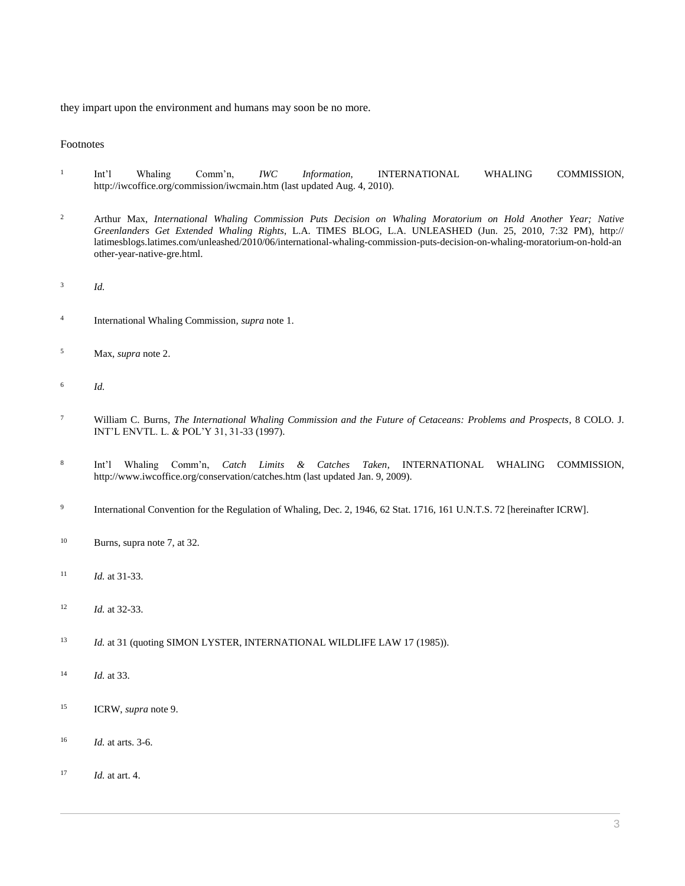they impart upon the environment and humans may soon be no more.

#### Footnotes

- 1 Int'l Whaling Comm'n, *IWC Information*, INTERNATIONAL WHALING COMMISSION, http://iwcoffice.org/commission/iwcmain.htm (last updated Aug. 4, 2010).
- <sup>2</sup> Arthur Max, *International Whaling Commission Puts Decision on Whaling Moratorium on Hold Another Year; Native Greenlanders Get Extended Whaling Rights*, L.A. TIMES BLOG, L.A. UNLEASHED (Jun. 25, 2010, 7:32 PM), http:// latimesblogs.latimes.com/unleashed/2010/06/international-whaling-commission-puts-decision-on-whaling-moratorium-on-hold-an other-year-native-gre.html.
- 3 *Id.*
- 4 International Whaling Commission, *supra* note 1.
- <sup>5</sup> Max, *supra* note 2.
- 6 *Id.*
- <sup>7</sup> William C. Burns, *[The International Whaling Commission and the Future of Cetaceans: Problems and Prospects](http://www.westlaw.com/Link/Document/FullText?findType=Y&serNum=0108454799&pubNum=0101287&originatingDoc=Ic08a3ac88c0f11e498db8b09b4f043e0&refType=LR&originationContext=document&vr=3.0&rs=cblt1.0&transitionType=DocumentItem&contextData=(sc.Search))*, 8 COLO. J. [INT'L ENVTL. L. & POL'Y 31, 31-33 \(1997\).](http://www.westlaw.com/Link/Document/FullText?findType=Y&serNum=0108454799&pubNum=0101287&originatingDoc=Ic08a3ac88c0f11e498db8b09b4f043e0&refType=LR&originationContext=document&vr=3.0&rs=cblt1.0&transitionType=DocumentItem&contextData=(sc.Search))
- 8 Int'l Whaling Comm'n, *Catch Limits & Catches Taken*, INTERNATIONAL WHALING COMMISSION, http://www.iwcoffice.org/conservation/catches.htm (last updated Jan. 9, 2009).
- 9 International Convention for the Regulation of Whaling, Dec. 2, 1946, 62 Stat. 1716, 161 U.N.T.S. 72 [hereinafter ICRW].
- <sup>10</sup> Burns, supra note 7, at 32.
- <sup>11</sup> *Id.* at 31-33.
- <sup>12</sup> *Id.* at 32-33.
- <sup>13</sup> *Id.* at 31 (quoting SIMON LYSTER, INTERNATIONAL WILDLIFE LAW 17 (1985)).
- <sup>14</sup> *Id.* at 33.
- <sup>15</sup> ICRW, *supra* note 9.
- <sup>16</sup> *Id.* at arts. 3-6.
- <sup>17</sup> *Id.* at art. 4.